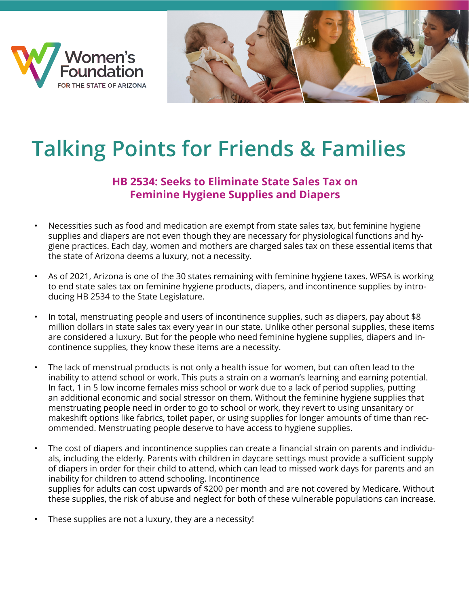



## **Talking Points for Friends & Families**

## **HB 2534: Seeks to Eliminate State Sales Tax on Feminine Hygiene Supplies and Diapers**

- Necessities such as food and medication are exempt from state sales tax, but feminine hygiene supplies and diapers are not even though they are necessary for physiological functions and hygiene practices. Each day, women and mothers are charged sales tax on these essential items that the state of Arizona deems a luxury, not a necessity.
- As of 2021, Arizona is one of the 30 states remaining with feminine hygiene taxes. WFSA is working to end state sales tax on feminine hygiene products, diapers, and incontinence supplies by introducing HB 2534 to the State Legislature.
- In total, menstruating people and users of incontinence supplies, such as diapers, pay about \$8 million dollars in state sales tax every year in our state. Unlike other personal supplies, these items are considered a luxury. But for the people who need feminine hygiene supplies, diapers and incontinence supplies, they know these items are a necessity.
- The lack of menstrual products is not only a health issue for women, but can often lead to the inability to attend school or work. This puts a strain on a woman's learning and earning potential. In fact, 1 in 5 low income females miss school or work due to a lack of period supplies, putting an additional economic and social stressor on them. Without the feminine hygiene supplies that menstruating people need in order to go to school or work, they revert to using unsanitary or makeshift options like fabrics, toilet paper, or using supplies for longer amounts of time than recommended. Menstruating people deserve to have access to hygiene supplies.
- The cost of diapers and incontinence supplies can create a financial strain on parents and individuals, including the elderly. Parents with children in daycare settings must provide a sufficient supply of diapers in order for their child to attend, which can lead to missed work days for parents and an inability for children to attend schooling. Incontinence supplies for adults can cost upwards of \$200 per month and are not covered by Medicare. Without these supplies, the risk of abuse and neglect for both of these vulnerable populations can increase.
- These supplies are not a luxury, they are a necessity!